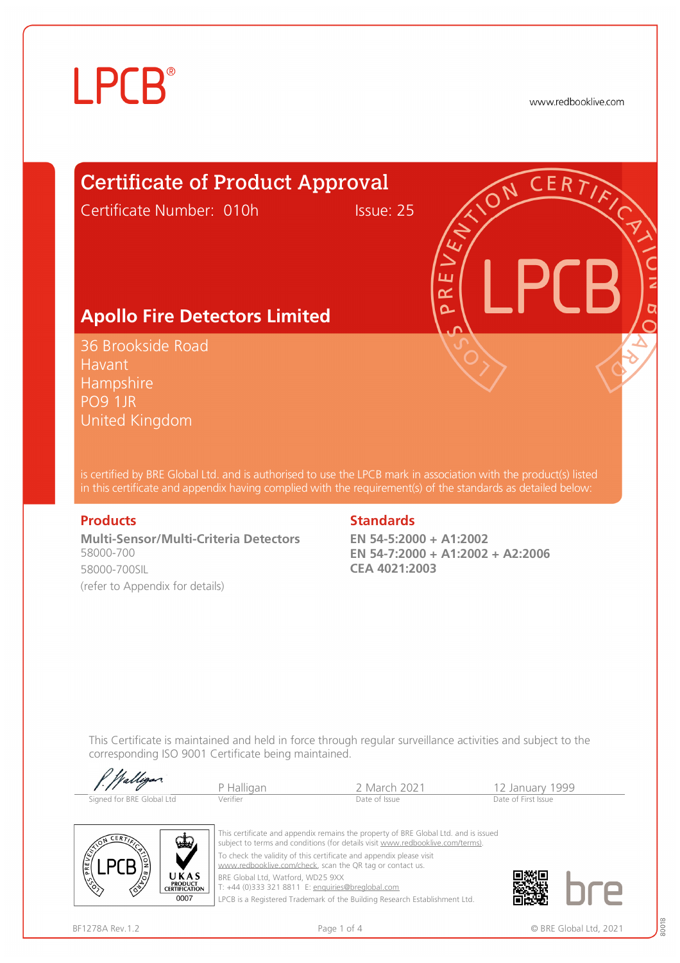# **LPCB**®

www.redbooklive.com

## Certificate of Product Approval

Certificate Number: 010h Issue: 25

### **Apollo Fire Detectors Limited**

36 Brookside Road Havant **Hampshire** PO9 1JR United Kingdom

is certified by BRE Global Ltd. and is authorised to use the LPCB mark in association with the product(s) listed in this certificate and appendix having complied with the requirement(s) of the standards as detailed below:

**Multi-Sensor/Multi-Criteria Detectors**  58000-700 58000-700SIL (refer to Appendix for details)

#### **Products** Standards **Standards**

**EN 54-5:2000 + A1:2002 EN 54-7:2000 + A1:2002 + A2:2006 CEA 4021:2003**

ய œ  $\overline{\Omega}$ 

This Certificate is maintained and held in force through regular surveillance activities and subject to the corresponding ISO 9001 Certificate being maintained.

| P. Walligan               |            |                         |                     |
|---------------------------|------------|-------------------------|---------------------|
|                           | P Halligan | <sup>2</sup> March 2021 | 12 January 1999     |
| Signed for BRE Global Ltd | Verifier   | Date of Issue           | Date of First Issue |



This certificate and appendix remains the property of BRE Global Ltd. and is issued subject to terms and conditions (for details visit [www.redbooklive.com/terms\)](http://www.redbooklive.com/terms)). To check the validity of this certificate and appendix please visit [www.redbooklive.com/check,](http://www.redbooklive.com/check) scan the QR tag or contact us. BRE Global Ltd, Watford, WD25 9XX

T: +44 (0)333 321 8811 E: [enquiries@breglobal.com](mailto:enquiries@breglobal.com)

LPCB is a Registered Trademark of the Building Research Establishment Ltd.

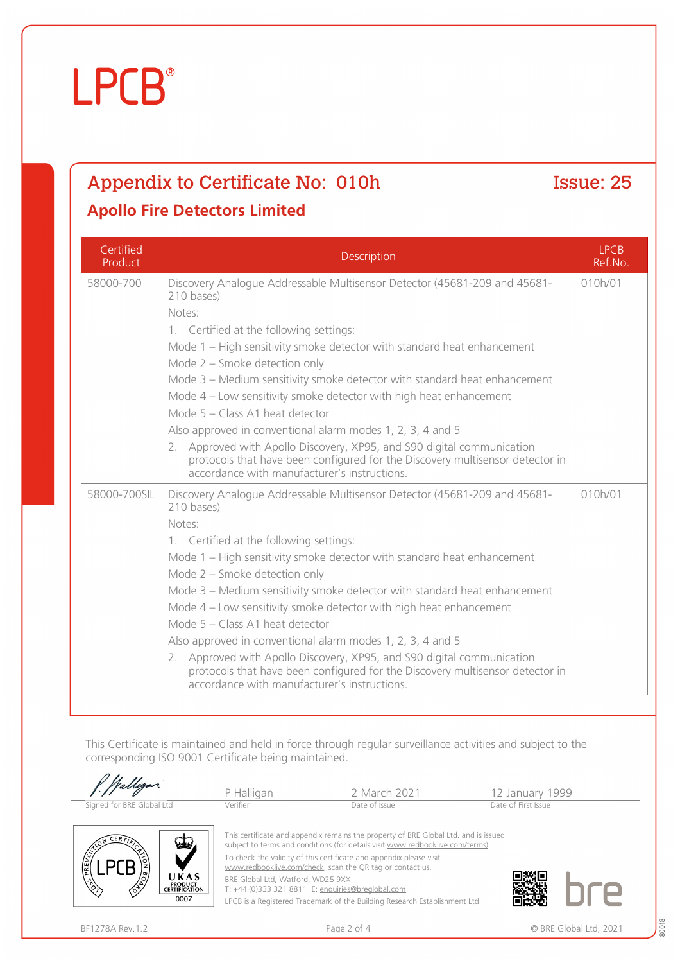#### BF1278A Rev.1.2 **Page 2 of 4** Page 2 of 4 © BRE Global Ltd, 2021

# **LPCB**®

# Appendix to Certificate No: 010h Issue: 25

### **Apollo Fire Detectors Limited**

| Certified<br>Product | Description                                                                                                                                                                                                                                                                                                                                                                                                                                                                                                                                                                                                                                                                                                               | <b>LPCB</b><br>Ref.No. |
|----------------------|---------------------------------------------------------------------------------------------------------------------------------------------------------------------------------------------------------------------------------------------------------------------------------------------------------------------------------------------------------------------------------------------------------------------------------------------------------------------------------------------------------------------------------------------------------------------------------------------------------------------------------------------------------------------------------------------------------------------------|------------------------|
| 58000-700            | Discovery Analogue Addressable Multisensor Detector (45681-209 and 45681-<br>210 bases)<br>Notes:<br>1. Certified at the following settings:<br>Mode 1 - High sensitivity smoke detector with standard heat enhancement<br>Mode 2 - Smoke detection only<br>Mode 3 - Medium sensitivity smoke detector with standard heat enhancement<br>Mode $4$ – Low sensitivity smoke detector with high heat enhancement<br>Mode 5 - Class A1 heat detector<br>Also approved in conventional alarm modes 1, 2, 3, 4 and 5<br>2. Approved with Apollo Discovery, XP95, and S90 digital communication<br>protocols that have been configured for the Discovery multisensor detector in<br>accordance with manufacturer's instructions. | 010h/01                |
| 58000-700SIL         | Discovery Analogue Addressable Multisensor Detector (45681-209 and 45681-<br>210 bases)<br>Notes:<br>1. Certified at the following settings:<br>Mode 1 – High sensitivity smoke detector with standard heat enhancement<br>Mode 2 - Smoke detection only<br>Mode 3 - Medium sensitivity smoke detector with standard heat enhancement<br>Mode 4 - Low sensitivity smoke detector with high heat enhancement<br>Mode 5 - Class A1 heat detector<br>Also approved in conventional alarm modes 1, 2, 3, 4 and 5<br>2. Approved with Apollo Discovery, XP95, and S90 digital communication<br>protocols that have been configured for the Discovery multisensor detector in<br>accordance with manufacturer's instructions.   | 010h/01                |

This Certificate is maintained and held in force through regular surveillance activities and subject to the corresponding ISO 9001 Certificate being maintained.

|                                                                                     | P Halligan                        | 2 March 2021                                                                                                                                                                                                                                                                                              | 12 January 1999     |
|-------------------------------------------------------------------------------------|-----------------------------------|-----------------------------------------------------------------------------------------------------------------------------------------------------------------------------------------------------------------------------------------------------------------------------------------------------------|---------------------|
| Signed for BRE Global Ltd                                                           | Verifier                          | Date of Issue                                                                                                                                                                                                                                                                                             | Date of First Issue |
| <b>CERTT</b><br>فطعا<br>$\mathbb{R}^2$<br>E                                         |                                   | This certificate and appendix remains the property of BRE Global Ltd. and is issued<br>subject to terms and conditions (for details visit www.redbooklive.com/terms).<br>To check the validity of this certificate and appendix please visit<br>www.redbooklive.com/check, scan the QR tag or contact us. |                     |
| <b>Contract</b><br>UKAS<br>$\binom{6}{6}$<br><b>PRODUCT</b><br><b>CERTIFICATION</b> | BRE Global Ltd, Watford, WD25 9XX | T: +44 (0)333 321 8811 E: enquiries@breglobal.com                                                                                                                                                                                                                                                         |                     |
| 0007                                                                                |                                   | LPCB is a Registered Trademark of the Building Research Establishment Ltd.                                                                                                                                                                                                                                |                     |

LPCB is a Registered Trademark of the Building Research Establishment Ltd.

80018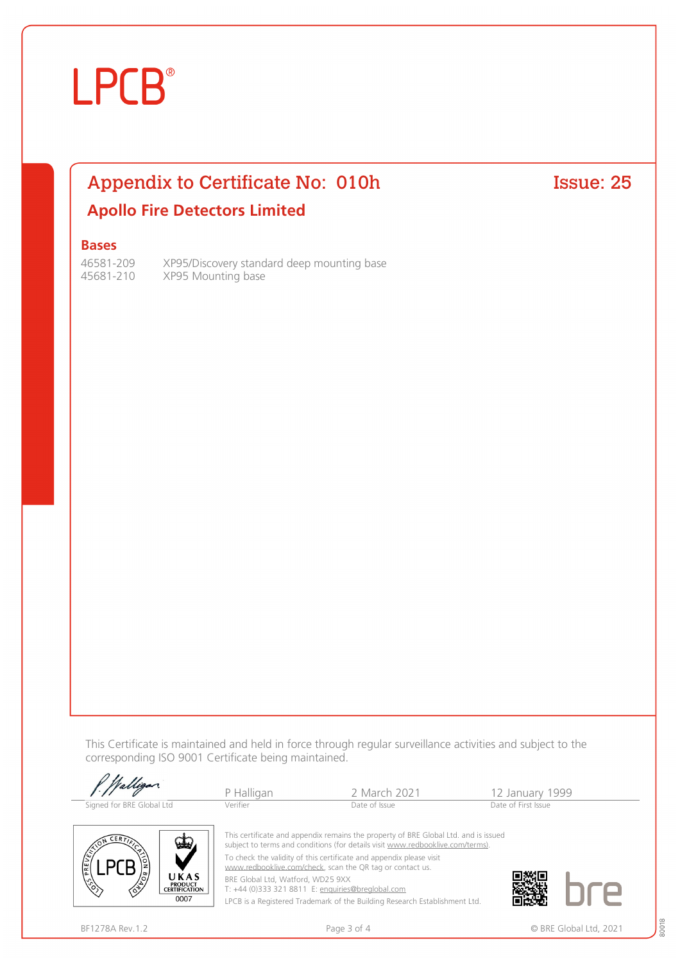# **LPCB**®

### Appendix to Certificate No: 010h Issue: 25 **Apollo Fire Detectors Limited**

#### **Bases**

46581-209 XP95/Discovery standard deep mounting base 45681-210 XP95 Mounting base

This Certificate is maintained and held in force through regular surveillance activities and subject to the corresponding ISO 9001 Certificate being maintained.

| Walligan.                 | P Halligan | 2 March 2021                                                                                                                                                          | 12 January 1999     |  |
|---------------------------|------------|-----------------------------------------------------------------------------------------------------------------------------------------------------------------------|---------------------|--|
| Signed for BRE Global Ltd | Verifier   | Date of Issue                                                                                                                                                         | Date of First Issue |  |
| <b>CERTA</b><br>سلعا      |            | This certificate and appendix remains the property of BRE Global Ltd. and is issued<br>subject to terms and conditions (for details visit www.redbooklive.com/terms). |                     |  |
|                           |            | To check the validity of this certificate and appendix please visit<br>www.redbooklive.com/check, scan the QR tag or contact us.                                      | _____               |  |

[www.redbooklive.com/check](http://www.redbooklive.com/check), scan the QR tag or contact us.

BRE Global Ltd, Watford, WD25 9XX T: +44 (0)333 321 8811 E: [enquiries@breglobal.com](mailto:enquiries@breglobal.com)

LPCB is a Registered Trademark of the Building Research Establishment Ltd.



伦

UKAS PRODUCT<br>CERTIFICATION

0007

80018